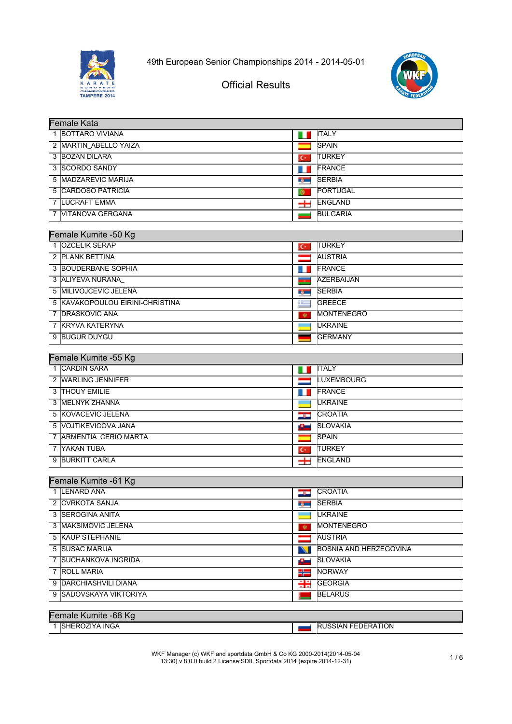



# Official Results

| <b>Female Kata</b>              |                     |                               |
|---------------------------------|---------------------|-------------------------------|
| 1 BOTTARO VIVIANA               |                     | <b>ITALY</b>                  |
| 2 MARTIN ABELLO YAIZA           |                     | <b>SPAIN</b>                  |
| 3 BOZAN DILARA                  | $C^*$               | <b>TURKEY</b>                 |
| 3 SCORDO SANDY                  | . .                 | FRANCE                        |
| 5 MADZAREVIC MARIJA             | r general           | <b>SERBIA</b>                 |
| 5 CARDOSO PATRICIA              |                     | PORTUGAL                      |
| <b>7 LUCRAFT EMMA</b>           | $\pm$               | ENGLAND                       |
| 7 VITANOVA GERGANA              |                     | <b>BULGARIA</b>               |
|                                 |                     |                               |
| Female Kumite -50 Kg            |                     |                               |
| 1 <b>IOZCELIK SERAP</b>         | $C^*$               | <b>TURKEY</b>                 |
| 2 PLANK BETTINA                 |                     | <b>AUSTRIA</b>                |
| 3 BOUDERBANE SOPHIA             |                     | FRANCE                        |
| 3 ALIYEVA NURANA                |                     | <b>AZERBAIJAN</b>             |
| 5 MILIVOJCEVIC JELENA           | n yan               | <b>SERBIA</b>                 |
| 5 KAVAKOPOULOU EIRINI-CHRISTINA | ≔                   | <b>GREECE</b>                 |
| 7 <b>DRASKOVIC ANA</b>          | W.                  | <b>MONTENEGRO</b>             |
| 7 KRYVA KATERYNA                | and the contract of | <b>UKRAINE</b>                |
| 9 BUGUR DUYGU                   |                     | <b>GERMANY</b>                |
| Female Kumite -55 Kg            |                     |                               |
| 1 CARDIN SARA                   | H                   | <b>ITALY</b>                  |
| 2 WARLING JENNIFER              |                     | <b>LUXEMBOURG</b>             |
| 3 THOUY EMILIE                  |                     | FRANCE                        |
| 3 MELNYK ZHANNA                 |                     | <b>UKRAINE</b>                |
| 5 KOVACEVIC JELENA              | صوص                 | CROATIA                       |
| 5 VOJTIKEVICOVA JANA            | سائك                | <b>SLOVAKIA</b>               |
| 7 ARMENTIA_CERIO MARTA          |                     | <b>SPAIN</b>                  |
| 7 YAKAN TUBA                    | $C^*$               | <b>TURKEY</b>                 |
| 9 BURKITT CARLA                 | $\pm$               | ENGLAND                       |
|                                 |                     |                               |
| Female Kumite - 61 Kg           |                     |                               |
| 1 LENARD ANA                    |                     | <b>CROATIA</b>                |
| 2 CVRKOTA SANJA                 |                     | <b>No. SERBIA</b>             |
| 3 SEROGINA ANITA                |                     | <b>UKRAINE</b>                |
| 3 MAKSIMOVIC JELENA             | 察。                  | <b>MONTENEGRO</b>             |
| 5 KAUP STEPHANIE                |                     | <b>AUSTRIA</b>                |
| 5 SUSAC MARIJA                  |                     | <b>BOSNIA AND HERZEGOVINA</b> |
| 7 SUCHANKOVA INGRIDA            | £                   | <b>SLOVAKIA</b>               |
| 7 ROLL MARIA                    | ₩                   | <b>NORWAY</b>                 |
| 9 DARCHIASHVILI DIANA           | 유통                  | <b>GEORGIA</b>                |
| 9 SADOVSKAYA VIKTORIYA          |                     | <b>BELARUS</b>                |
|                                 |                     |                               |
| Female Kumite -68 Kg            |                     |                               |
| 1 SHEROZIYA INGA                |                     | <b>RUSSIAN FEDERATION</b>     |

WKF Manager (c) WKF and sportdata GmbH & Co KG 2000-2014(2014-05-04 13:30) v 8.0.0 build 2 License:SDIL Sportdata 2014 (expire 2014-12-31) 1 / 6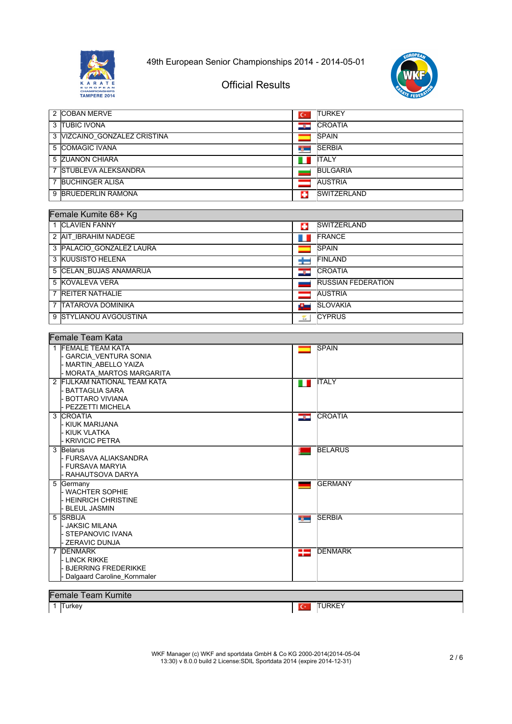



٦

# Official Results

| 2 COBAN MERVE                | $\mathbf{C}$ | <b>ITURKEY</b>     |
|------------------------------|--------------|--------------------|
| 3 ITUBIC IVONA               | درد          | <b>CROATIA</b>     |
| 3 VIZCAINO GONZALEZ CRISTINA |              | <b>SPAIN</b>       |
| 5 COMAGIC IVANA              | t jur        | <b>SERBIA</b>      |
| 5 ZUANON CHIARA              | ш            | <b>ITALY</b>       |
| 7 STUBLEVA ALEKSANDRA        |              | <b>BULGARIA</b>    |
| <b>BUCHINGER ALISA</b>       |              | <b>AUSTRIA</b>     |
| 9 BRUEDERLIN RAMONA          | ш            | <b>SWITZERLAND</b> |

#### Female Kumite 68+ Kg

| CHIQIC INJIHIIC UUT INJ  |           |                           |
|--------------------------|-----------|---------------------------|
| 1 CLAVIEN FANNY          | o         | <b>SWITZERLAND</b>        |
| 2 AIT IBRAHIM NADEGE     |           | <b>FRANCE</b>             |
| 3 PALACIO GONZALEZ LAURA |           | <b>SPAIN</b>              |
| 3 KUUSISTO HELENA        |           | <b>FINLAND</b>            |
| 5 CELAN BUJAS ANAMARIJA  | <b>SP</b> | <b>CROATIA</b>            |
| 5 KOVALEVA VERA          |           | <b>RUSSIAN FEDERATION</b> |
| 7 REITER NATHALIE        |           | <b>AUSTRIA</b>            |
| 7 ITATAROVA DOMINIKA     | 45        | <b>SLOVAKIA</b>           |
| 9 STYLIANOU AVGOUSTINA   | ÷         | <b>CYPRUS</b>             |

| Female Team Kata                                 |  |               |                 |
|--------------------------------------------------|--|---------------|-----------------|
| 1 FEMALE TEAM KATA                               |  |               | <b>SPAIN</b>    |
| <b>GARCIA VENTURA SONIA</b>                      |  |               |                 |
| - MARTIN ABELLO YAIZA<br>MORATA MARTOS MARGARITA |  |               |                 |
| 2 FIJLKAM NATIONAL TEAM KATA                     |  |               | <b>ITALY</b>    |
| <b>BATTAGLIA SARA</b>                            |  | <b>The Co</b> |                 |
| <b>BOTTARO VIVIANA</b>                           |  |               |                 |
| PEZZETTI MICHELA                                 |  |               |                 |
| 3 CROATIA                                        |  | دود           | <b>ICROATIA</b> |
| KIUK MARIJANA                                    |  |               |                 |
| L KIUK VLATKA                                    |  |               |                 |
| <b>KRIVICIC PETRA</b>                            |  |               |                 |
| 3 Belarus                                        |  |               | <b>BELARUS</b>  |
| l- FURSAVA ALIAKSANDRA                           |  |               |                 |
| - FURSAVA MARYIA<br>RAHAUTSOVA DARYA             |  |               |                 |
| 5 Germany                                        |  |               | <b>GERMANY</b>  |
| - WACHTER SOPHIE                                 |  |               |                 |
| - HEINRICH CHRISTINE                             |  |               |                 |
| <b>BLEUL JASMIN</b>                              |  |               |                 |
| 5 SRBIJA                                         |  | rg —          | <b>SERBIA</b>   |
| - JAKSIC MILANA                                  |  |               |                 |
| <b>STEPANOVIC IVANA</b>                          |  |               |                 |
| ZERAVIC DUNJA                                    |  |               |                 |
| 7 <b>IDENMARK</b>                                |  | ₩             | <b>DENMARK</b>  |
| l linck rikke<br><b>BJERRING FREDERIKKE</b>      |  |               |                 |
| Dalgaard Caroline Kornmaler                      |  |               |                 |
|                                                  |  |               |                 |
| <b>Female Team Kumite</b>                        |  |               |                 |
| 1 Turkey                                         |  |               | <b>TURKEY</b>   |
|                                                  |  | $C^*$         |                 |

WKF Manager (c) WKF and sportdata GmbH & Co KG 2000-2014(2014-05-04 13:30) v 8.0.0 build 2 License:SDIL Sportdata 2014 (expire 2014-12-31) 2 / 6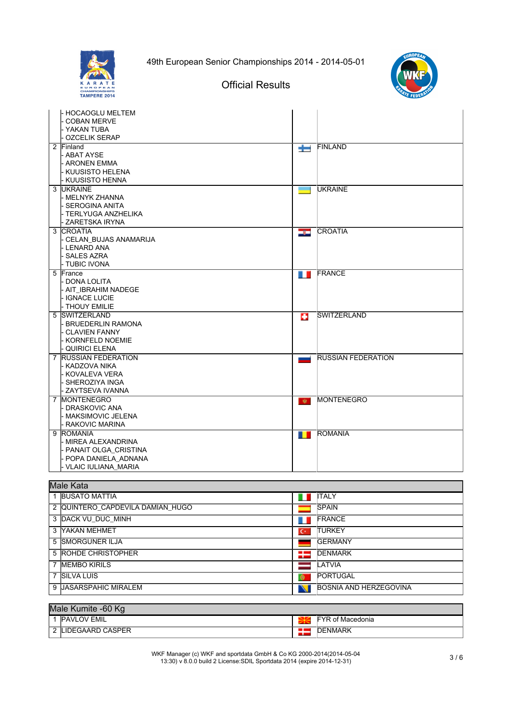





## Official Results

| - HOCAOGLU MELTEM       |                   |                           |
|-------------------------|-------------------|---------------------------|
| <b>COBAN MERVE</b>      |                   |                           |
| - YAKAN TUBA            |                   |                           |
| - OZCELIK SERAP         |                   |                           |
| 2 Finland               | $\pm$             | <b>FINLAND</b>            |
| - ABAT AYSE             |                   |                           |
| - ARONEN EMMA           |                   |                           |
| - KUUSISTO HELENA       |                   |                           |
| - KUUSISTO HENNA        |                   |                           |
| 3 UKRAINE               | <b>Contract</b>   | <b>UKRAINE</b>            |
| l MELNYK ZHANNA         |                   |                           |
| l- SEROGINA ANITA       |                   |                           |
| - TERLYUGA ANZHELIKA    |                   |                           |
| - ZARETSKA IRYNA        |                   |                           |
| 3  CROATIA              | أدرتها            | <b>CROATIA</b>            |
| - CELAN BUJAS ANAMARIJA |                   |                           |
| - LENARD ANA            |                   |                           |
| - SALES AZRA            |                   |                           |
| - TUBIC IVONA           |                   |                           |
| 5 France                | <b>The Second</b> | <b>FRANCE</b>             |
| - DONA LOLITA           |                   |                           |
| - AIT IBRAHIM NADEGE    |                   |                           |
| - IGNACE LUCIE          |                   |                           |
| - THOUY EMILIE          |                   |                           |
| 5 SWITZERLAND           | E.                | <b>SWITZERLAND</b>        |
| - BRUEDERLIN RAMONA     |                   |                           |
| - CLAVIEN FANNY         |                   |                           |
| - KORNFELD NOEMIE       |                   |                           |
| - QUIRICI ELENA         |                   |                           |
| 7 RUSSIAN FEDERATION    | المستبدا          | <b>RUSSIAN FEDERATION</b> |
| - KADZOVA NIKA          |                   |                           |
| - KOVALEVA VERA         |                   |                           |
| - SHEROZIYA INGA        |                   |                           |
| - ZAYTSEVA IVANNA       |                   |                           |
| 7 IMONTENEGRO           | $\mathbf{w}$      | <b>MONTENEGRO</b>         |
| - DRASKOVIC ANA         |                   |                           |
| l- MAKSIMOVIC JELENA    |                   |                           |
| - RAKOVIC MARINA        |                   |                           |
| 9 ROMANIA               | $\blacksquare$    | <b>ROMANIA</b>            |
| - MIREA ALEXANDRINA     |                   |                           |
| - PANAIT OLGA CRISTINA  |                   |                           |
| - POPA DANIELA ADNANA   |                   |                           |
| - VLAIC IULIANA MARIA   |                   |                           |

#### Male Kata

| iiviais Itala                    |                |                               |  |
|----------------------------------|----------------|-------------------------------|--|
| <b>BUSATO MATTIA</b>             |                | <b>ITALY</b>                  |  |
| 2 QUINTERO CAPDEVILA DAMIAN HUGO |                | <b>ISPAIN</b>                 |  |
| 3 DACK VU DUC MINH               |                | <b>IFRANCE</b>                |  |
| 3 YAKAN MEHMET                   | $\mathbf{C}^*$ | <b>ITURKEY</b>                |  |
| 5 ISMORGUNER ILJA                |                | <b>GERMANY</b>                |  |
| 5 ROHDE CHRISTOPHER              | ≔              | <b>IDENMARK</b>               |  |
| 7 MEMBO KIRILS                   |                | <b>LATVIA</b>                 |  |
| 7 SILVA LUIS                     | $\bullet$      | <b>PORTUGAL</b>               |  |
| 9 UASARSPAHIC MIRALEM            |                | <b>BOSNIA AND HERZEGOVINA</b> |  |

#### Male Kumite -60 Kg 1 PAVLOV EMIL<br>2 LIDEGAARD CASPER<br>2 LIDEGAARD CASPER 2 LIDEGAARD CASPER

WKF Manager (c) WKF and sportdata GmbH & Co KG 2000-2014(2014-05-04 13:30) v 8.0.0 build 2 License:SDIL Sportdata 2014 (expire 2014-12-31) 3 / 6

٦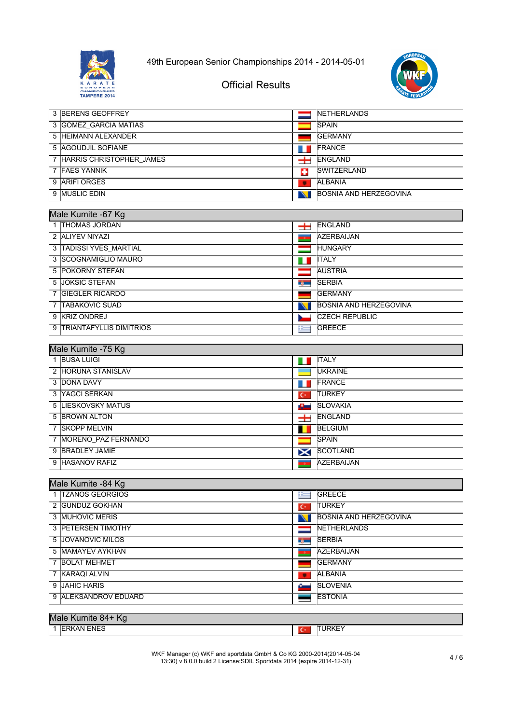



┑

## Official Results

|   | 3 BERENS GEOFFREY        |   | <b>INETHERLANDS</b>    |
|---|--------------------------|---|------------------------|
|   | 3 GOMEZ GARCIA MATIAS    |   | <b>SPAIN</b>           |
|   | 5 HEIMANN ALEXANDER      |   | <b>IGERMANY</b>        |
|   | 5 AGOUDJIL SOFIANE       |   | <b>IFRANCE</b>         |
| 7 | HARRIS CHRISTOPHER JAMES |   | <b>ENGLAND</b>         |
|   | 7 FAES YANNIK            | ÷ | <b>ISWITZERLAND</b>    |
|   | 9 ARIFI ORGES            | ٠ | <b>ALBANIA</b>         |
|   | 9 MUSLIC EDIN            |   | BOSNIA AND HERZEGOVINA |

#### Male Kumite -67 Kg

| 1 THOMAS JORDAN           | ᆂ                                 | <b>ENGLAND</b>         |  |
|---------------------------|-----------------------------------|------------------------|--|
| 2 ALIYEV NIYAZI           | <b>TO</b>                         | <b>AZERBAIJAN</b>      |  |
| 3 TADISSI YVES MARTIAL    |                                   | <b>HUNGARY</b>         |  |
| 3 SCOGNAMIGLIO MAURO      |                                   | <b>ITALY</b>           |  |
| <b>5 IPOKORNY STEFAN</b>  |                                   | <b>AUSTRIA</b>         |  |
| 5 JOKSIC STEFAN           | <b>Contract Contract Contract</b> | <b>SERBIA</b>          |  |
| 7 GIEGLER RICARDO         |                                   | <b>IGERMANY</b>        |  |
| 7 TABAKOVIC SUAD          | N                                 | BOSNIA AND HERZEGOVINA |  |
| 9 KRIZ ONDREJ             |                                   | <b>CZECH REPUBLIC</b>  |  |
| 9 TRIANTAFYLLIS DIMITRIOS | <u>ie</u>                         | <b>GREECE</b>          |  |

#### Male Kumite -75 Kg

| <b>BUSA LUIGI</b>     | ш              | <b>ITALY</b>      |
|-----------------------|----------------|-------------------|
| 2 HORUNA STANISLAV    |                | <b>UKRAINE</b>    |
| 3 DONA DAVY           |                | <b>FRANCE</b>     |
| 3 YAGCI SERKAN        | $\mathbf{C}^*$ | <b>TURKEY</b>     |
| 5 LIESKOVSKY MATUS    | a.             | <b>SLOVAKIA</b>   |
| 5 BROWN ALTON         | 士              | <b>ENGLAND</b>    |
| 7 SKOPP MELVIN        |                | <b>BELGIUM</b>    |
| 7 MORENO PAZ FERNANDO |                | <b>SPAIN</b>      |
| 9 BRADLEY JAMIE       | X              | <b>SCOTLAND</b>   |
| 9 HASANOV RAFIZ       |                | <b>AZERBAIJAN</b> |

#### Male Kumite -84 Kg

| 1 TZANOS GEORGIOS        | <b>GREECE</b><br>$\mathbf{r}$       |  |  |  |
|--------------------------|-------------------------------------|--|--|--|
| 2 GUNDUZ GOKHAN          | <b>TURKEY</b><br>۱с۰                |  |  |  |
| 3 MUHOVIC MERIS          | <b>BOSNIA AND HERZEGOVINA</b><br>NI |  |  |  |
| 3 PETERSEN TIMOTHY       | <b>INETHERLANDS</b>                 |  |  |  |
| 5 <b>JOVANOVIC MILOS</b> | <b>SERBIA</b><br><b>By Co</b>       |  |  |  |
| 5 MAMAYEV AYKHAN         | <b>AZERBAIJAN</b>                   |  |  |  |
| 7 BOLAT MEHMET           | <b>IGERMANY</b>                     |  |  |  |
| 7 KARAQI ALVIN           | <b>ALBANIA</b><br>۰                 |  |  |  |
| 9 JAHIC HARIS            | <b>SLOVENIA</b><br>c.               |  |  |  |
| 9 ALEKSANDROV EDUARD     | <b>ESTONIA</b>                      |  |  |  |
|                          |                                     |  |  |  |
| Male Kumite 84+ Kg       |                                     |  |  |  |

# 1 ERKAN ENES **TURKEY**

WKF Manager (c) WKF and sportdata GmbH & Co KG 2000-2014(2014-05-04 13:30) v 8.0.0 build 2 License:SDIL Sportdata 2014 (expire 2014-12-31) 4 / 6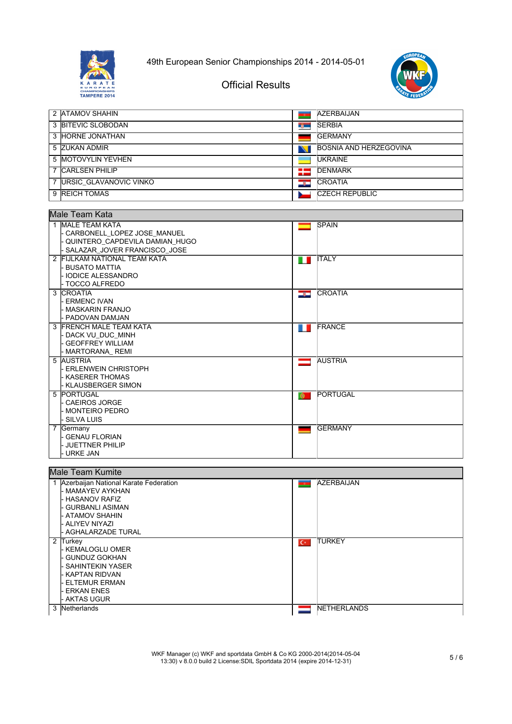



Official Results

| 2 ATAMOV SHAHIN        | <b>TO</b>      | <b>AZERBAIJAN</b>             |
|------------------------|----------------|-------------------------------|
| 3 BITEVIC SLOBODAN     | <b>By High</b> | <b>SERBIA</b>                 |
| 3 HORNE JONATHAN       |                | <b>IGERMANY</b>               |
| 5 ZUKAN ADMIR          | N              | <b>BOSNIA AND HERZEGOVINA</b> |
| 5 MOTOVYLIN YEVHEN     |                | <b>IUKRAINE</b>               |
| <b>CARLSEN PHILIP</b>  | æ              | <b>DENMARK</b>                |
| URSIC GLAVANOVIC VINKO | درد            | <b>CROATIA</b>                |
| 9 REICH TOMAS          |                | <b>ICZECH REPUBLIC</b>        |

|   | Male Team Kata                 |                |                 |
|---|--------------------------------|----------------|-----------------|
|   |                                |                | <b>SPAIN</b>    |
|   | 1 IMALE TEAM KATA              |                |                 |
|   | - CARBONELL_LOPEZ JOSE_MANUEL  |                |                 |
|   | QUINTERO CAPDEVILA DAMIAN HUGO |                |                 |
|   | SALAZAR_JOVER FRANCISCO_JOSE   |                |                 |
|   | 2 FIJLKAM NATIONAL TEAM KATA   | n n            | <b>ITALY</b>    |
|   | - BUSATO MATTIA                |                |                 |
|   | <b>IODICE ALESSANDRO</b>       |                |                 |
|   | <b>TOCCO ALFREDO</b>           |                |                 |
|   | 3 CROATIA                      | <u>ing in </u> | <b>CROATIA</b>  |
|   | - ERMENC IVAN                  |                |                 |
|   | <b>MASKARIN FRANJO</b>         |                |                 |
|   | <b>PADOVAN DAMJAN</b>          |                |                 |
|   | 3 FRENCH MALE TEAM KATA        | . .            | FRANCE          |
|   | - DACK VU DUC MINH             |                |                 |
|   | <b>GEOFFREY WILLIAM</b>        |                |                 |
|   | MARTORANA_REMI                 |                |                 |
|   | 5 AUSTRIA                      | $\equiv$       | <b>AUSTRIA</b>  |
|   | <b>ERLENWEIN CHRISTOPH</b>     |                |                 |
|   | - KASERER THOMAS               |                |                 |
|   | <b>KLAUSBERGER SIMON</b>       |                |                 |
|   | 5 PORTUGAL                     | $\bullet$      | <b>PORTUGAL</b> |
|   | CAEIROS JORGE                  |                |                 |
|   | - MONTEIRO PEDRO               |                |                 |
|   | <b>SILVA LUIS</b>              |                |                 |
| 7 | Germany                        |                | <b>IGERMANY</b> |
|   | <b>GENAU FLORIAN</b>           |                |                 |
|   | - JUETTNER PHILIP              |                |                 |
|   | URKE JAN                       |                |                 |
|   | $\overline{a}$<br>$\mathbf{r}$ |                |                 |

| Male Team Kumite |                                         |       |                     |  |  |
|------------------|-----------------------------------------|-------|---------------------|--|--|
|                  | 1 Azerbaijan National Karate Federation |       | AZERBAIJAN          |  |  |
|                  | l- MAMAYEV AYKHAN                       |       |                     |  |  |
|                  | - HASANOV RAFIZ                         |       |                     |  |  |
|                  | - GURBANLI ASIMAN                       |       |                     |  |  |
|                  | - ATAMOV SHAHIN                         |       |                     |  |  |
|                  | - ALIYEV NIYAZI                         |       |                     |  |  |
|                  | - AGHALARZADE TURAL                     |       |                     |  |  |
|                  | 2 Turkey                                | $C^*$ | <b>TURKEY</b>       |  |  |
|                  | l- KEMALOGLU OMER                       |       |                     |  |  |
|                  | - GUNDUZ GOKHAN                         |       |                     |  |  |
|                  | - SAHINTEKIN YASER                      |       |                     |  |  |
|                  | - KAPTAN RIDVAN                         |       |                     |  |  |
|                  | <b>ELTEMUR ERMAN</b>                    |       |                     |  |  |
|                  | <b>ERKAN ENES</b>                       |       |                     |  |  |
|                  | - AKTAS UGUR                            |       |                     |  |  |
| 3                | <b>Netherlands</b>                      |       | <b>INETHERLANDS</b> |  |  |
|                  |                                         |       |                     |  |  |

WKF Manager (c) WKF and sportdata GmbH & Co KG 2000-2014(2014-05-04 13:30) v 8.0.0 build 2 License:SDIL Sportdata 2014 (expire 2014-12-31) 5 / 6